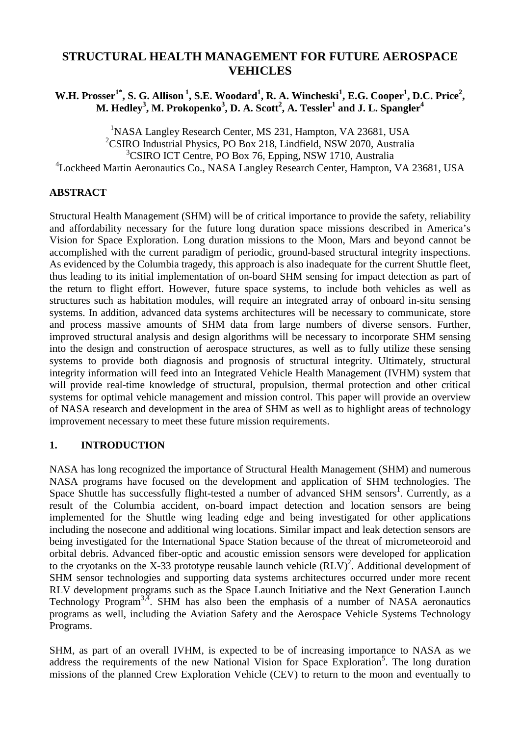# **STRUCTURAL HEALTH MANAGEMENT FOR FUTURE AEROSPACE VEHICLES**

**W.H. Prosser1\*, S. G. Allison<sup>1</sup>, S.E. Woodard<sup>1</sup> , R. A. Wincheski<sup>1</sup> , E.G. Cooper<sup>1</sup> , D.C. Price<sup>2</sup> , M. Hedley<sup>3</sup> , M. Prokopenko<sup>3</sup> , D. A. Scott<sup>2</sup> , A. Tessler<sup>1</sup> and J. L. Spangler<sup>4</sup>**

<sup>1</sup>NASA Langley Research Center, MS 231, Hampton, VA 23681, USA <sup>2</sup>CSIRO Industrial Physics, PO Box 218, Lindfield, NSW 2070, Australia <sup>3</sup>CSIRO ICT Centre, PO Box 76, Epping, NSW 1710, Australia 4 Lockheed Martin Aeronautics Co., NASA Langley Research Center, Hampton, VA 23681, USA

## **ABSTRACT**

Structural Health Management (SHM) will be of critical importance to provide the safety, reliability and affordability necessary for the future long duration space missions described in America's Vision for Space Exploration. Long duration missions to the Moon, Mars and beyond cannot be accomplished with the current paradigm of periodic, ground-based structural integrity inspections. As evidenced by the Columbia tragedy, this approach is also inadequate for the current Shuttle fleet, thus leading to its initial implementation of on-board SHM sensing for impact detection as part of the return to flight effort. However, future space systems, to include both vehicles as well as structures such as habitation modules, will require an integrated array of onboard in-situ sensing systems. In addition, advanced data systems architectures will be necessary to communicate, store and process massive amounts of SHM data from large numbers of diverse sensors. Further, improved structural analysis and design algorithms will be necessary to incorporate SHM sensing into the design and construction of aerospace structures, as well as to fully utilize these sensing systems to provide both diagnosis and prognosis of structural integrity. Ultimately, structural integrity information will feed into an Integrated Vehicle Health Management (IVHM) system that will provide real-time knowledge of structural, propulsion, thermal protection and other critical systems for optimal vehicle management and mission control. This paper will provide an overview of NASA research and development in the area of SHM as well as to highlight areas of technology improvement necessary to meet these future mission requirements.

## **1. INTRODUCTION**

NASA has long recognized the importance of Structural Health Management (SHM) and numerous NASA programs have focused on the development and application of SHM technologies. The Space Shuttle has successfully flight-tested a number of advanced SHM sensors<sup>1</sup>. Currently, as a result of the Columbia accident, on-board impact detection and location sensors are being implemented for the Shuttle wing leading edge and being investigated for other applications including the nosecone and additional wing locations. Similar impact and leak detection sensors are being investigated for the International Space Station because of the threat of micrometeoroid and orbital debris. Advanced fiber-optic and acoustic emission sensors were developed for application to the cryotanks on the X-33 prototype reusable launch vehicle  $(RLV)^2$ . Additional development of SHM sensor technologies and supporting data systems architectures occurred under more recent RLV development programs such as the Space Launch Initiative and the Next Generation Launch Technology Program<sup>3,4</sup>. SHM has also been the emphasis of a number of NASA aeronautics programs as well, including the Aviation Safety and the Aerospace Vehicle Systems Technology Programs.

SHM, as part of an overall IVHM, is expected to be of increasing importance to NASA as we address the requirements of the new National Vision for Space Exploration<sup>5</sup>. The long duration missions of the planned Crew Exploration Vehicle (CEV) to return to the moon and eventually to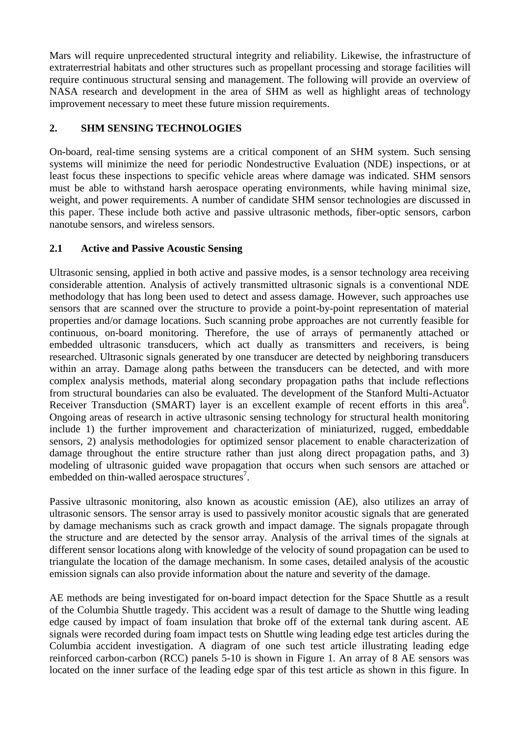Mars will require unprecedented structural integrity and reliability. Likewise, the infrastructure of extraterrestrial habitats and other structures such as propellant processing and storage facilities will require continuous structural sensing and management. The following will provide an overview of NASA research and development in the area of SHM as well as highlight areas of technology improvement necessary to meet these future mission requirements.

## **2. SHM SENSING TECHNOLOGIES**

On-board, real-time sensing systems are a critical component of an SHM system. Such sensing systems will minimize the need for periodic Nondestructive Evaluation (NDE) inspections, or at least focus these inspections to specific vehicle areas where damage was indicated. SHM sensors must be able to withstand harsh aerospace operating environments, while having minimal size, weight, and power requirements. A number of candidate SHM sensor technologies are discussed in this paper. These include both active and passive ultrasonic methods, fiber-optic sensors, carbon nanotube sensors, and wireless sensors.

## **2.1 Active and Passive Acoustic Sensing**

Ultrasonic sensing, applied in both active and passive modes, is a sensor technology area receiving considerable attention. Analysis of actively transmitted ultrasonic signals is a conventional NDE methodology that has long been used to detect and assess damage. However, such approaches use sensors that are scanned over the structure to provide a point-by-point representation of material properties and/or damage locations. Such scanning probe approaches are not currently feasible for continuous, on-board monitoring. Therefore, the use of arrays of permanently attached or embedded ultrasonic transducers, which act dually as transmitters and receivers, is being researched. Ultrasonic signals generated by one transducer are detected by neighboring transducers within an array. Damage along paths between the transducers can be detected, and with more complex analysis methods, material along secondary propagation paths that include reflections from structural boundaries can also be evaluated. The development of the Stanford Multi-Actuator Receiver Transduction (SMART) layer is an excellent example of recent efforts in this area<sup>6</sup>. Ongoing areas of research in active ultrasonic sensing technology for structural health monitoring include 1) the further improvement and characterization of miniaturized, rugged, embeddable sensors, 2) analysis methodologies for optimized sensor placement to enable characterization of damage throughout the entire structure rather than just along direct propagation paths, and 3) modeling of ultrasonic guided wave propagation that occurs when such sensors are attached or embedded on thin-walled aerospace structures<sup>7</sup>.

Passive ultrasonic monitoring, also known as acoustic emission (AE), also utilizes an array of ultrasonic sensors. The sensor array is used to passively monitor acoustic signals that are generated by damage mechanisms such as crack growth and impact damage. The signals propagate through the structure and are detected by the sensor array. Analysis of the arrival times of the signals at different sensor locations along with knowledge of the velocity of sound propagation can be used to triangulate the location of the damage mechanism. In some cases, detailed analysis of the acoustic emission signals can also provide information about the nature and severity of the damage.

AE methods are being investigated for on-board impact detection for the Space Shuttle as a result of the Columbia Shuttle tragedy. This accident was a result of damage to the Shuttle wing leading edge caused by impact of foam insulation that broke off of the external tank during ascent. AE signals were recorded during foam impact tests on Shuttle wing leading edge test articles during the Columbia accident investigation. A diagram of one such test article illustrating leading edge reinforced carbon-carbon (RCC) panels 5-10 is shown in Figure 1. An array of 8 AE sensors was located on the inner surface of the leading edge spar of this test article as shown in this figure. In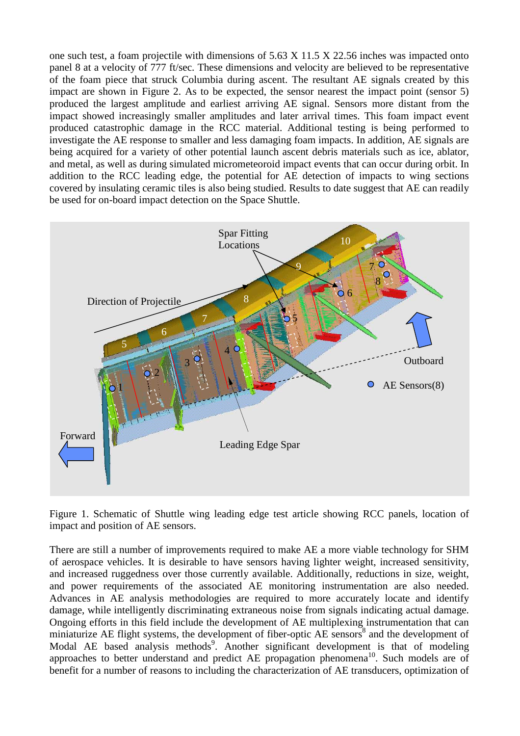one such test, a foam projectile with dimensions of 5.63 X 11.5 X 22.56 inches was impacted onto panel 8 at a velocity of 777 ft/sec. These dimensions and velocity are believed to be representative of the foam piece that struck Columbia during ascent. The resultant AE signals created by this impact are shown in Figure 2. As to be expected, the sensor nearest the impact point (sensor 5) produced the largest amplitude and earliest arriving AE signal. Sensors more distant from the impact showed increasingly smaller amplitudes and later arrival times. This foam impact event produced catastrophic damage in the RCC material. Additional testing is being performed to investigate the AE response to smaller and less damaging foam impacts. In addition, AE signals are being acquired for a variety of other potential launch ascent debris materials such as ice, ablator, and metal, as well as during simulated micrometeoroid impact events that can occur during orbit. In addition to the RCC leading edge, the potential for AE detection of impacts to wing sections covered by insulating ceramic tiles is also being studied. Results to date suggest that AE can readily be used for on-board impact detection on the Space Shuttle.



Figure 1. Schematic of Shuttle wing leading edge test article showing RCC panels, location of impact and position of AE sensors.

There are still a number of improvements required to make AE a more viable technology for SHM of aerospace vehicles. It is desirable to have sensors having lighter weight, increased sensitivity, and increased ruggedness over those currently available. Additionally, reductions in size, weight, and power requirements of the associated AE monitoring instrumentation are also needed. Advances in AE analysis methodologies are required to more accurately locate and identify damage, while intelligently discriminating extraneous noise from signals indicating actual damage. Ongoing efforts in this field include the development of AE multiplexing instrumentation that can miniaturize AE flight systems, the development of fiber-optic AE sensors<sup>8</sup> and the development of Modal AE based analysis methods<sup>9</sup>. Another significant development is that of modeling approaches to better understand and predict AE propagation phenomena<sup>10</sup>. Such models are of benefit for a number of reasons to including the characterization of AE transducers, optimization of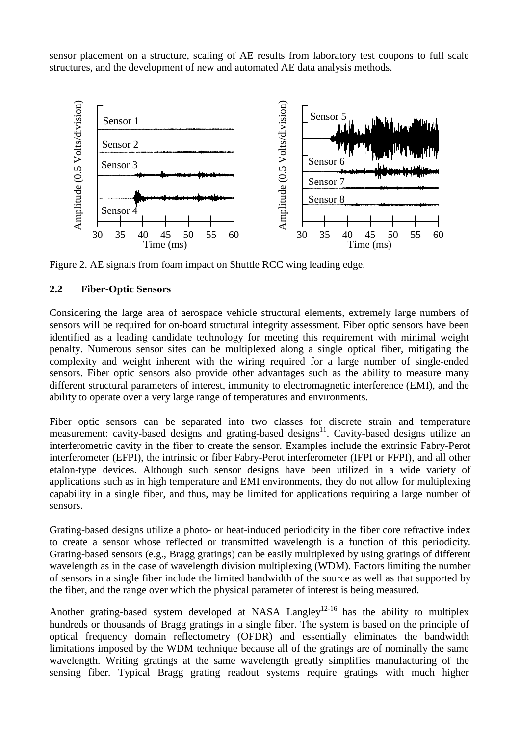sensor placement on a structure, scaling of AE results from laboratory test coupons to full scale structures, and the development of new and automated AE data analysis methods.



Figure 2. AE signals from foam impact on Shuttle RCC wing leading edge.

#### **2.2 Fiber-Optic Sensors**

Considering the large area of aerospace vehicle structural elements, extremely large numbers of sensors will be required for on-board structural integrity assessment. Fiber optic sensors have been identified as a leading candidate technology for meeting this requirement with minimal weight penalty. Numerous sensor sites can be multiplexed along a single optical fiber, mitigating the complexity and weight inherent with the wiring required for a large number of single-ended sensors. Fiber optic sensors also provide other advantages such as the ability to measure many different structural parameters of interest, immunity to electromagnetic interference (EMI), and the ability to operate over a very large range of temperatures and environments.

Fiber optic sensors can be separated into two classes for discrete strain and temperature measurement: cavity-based designs and grating-based designs<sup>11</sup>. Cavity-based designs utilize an interferometric cavity in the fiber to create the sensor. Examples include the extrinsic Fabry-Perot interferometer (EFPI), the intrinsic or fiber Fabry-Perot interferometer (IFPI or FFPI), and all other etalon-type devices. Although such sensor designs have been utilized in a wide variety of applications such as in high temperature and EMI environments, they do not allow for multiplexing capability in a single fiber, and thus, may be limited for applications requiring a large number of sensors.

Grating-based designs utilize a photo- or heat-induced periodicity in the fiber core refractive index to create a sensor whose reflected or transmitted wavelength is a function of this periodicity. Grating-based sensors (e.g., Bragg gratings) can be easily multiplexed by using gratings of different wavelength as in the case of wavelength division multiplexing (WDM). Factors limiting the number of sensors in a single fiber include the limited bandwidth of the source as well as that supported by the fiber, and the range over which the physical parameter of interest is being measured.

Another grating-based system developed at NASA Langley<sup>12-16</sup> has the ability to multiplex hundreds or thousands of Bragg gratings in a single fiber. The system is based on the principle of optical frequency domain reflectometry (OFDR) and essentially eliminates the bandwidth limitations imposed by the WDM technique because all of the gratings are of nominally the same wavelength. Writing gratings at the same wavelength greatly simplifies manufacturing of the sensing fiber. Typical Bragg grating readout systems require gratings with much higher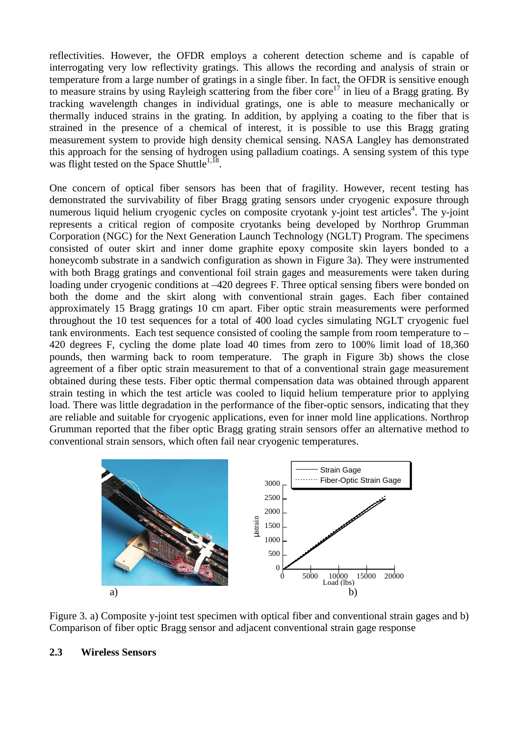reflectivities. However, the OFDR employs a coherent detection scheme and is capable of interrogating very low reflectivity gratings. This allows the recording and analysis of strain or temperature from a large number of gratings in a single fiber. In fact, the OFDR is sensitive enough to measure strains by using Rayleigh scattering from the fiber  $\text{core}^{17}$  in lieu of a Bragg grating. By tracking wavelength changes in individual gratings, one is able to measure mechanically or thermally induced strains in the grating. In addition, by applying a coating to the fiber that is strained in the presence of a chemical of interest, it is possible to use this Bragg grating measurement system to provide high density chemical sensing. NASA Langley has demonstrated this approach for the sensing of hydrogen using palladium coatings. A sensing system of this type was flight tested on the Space Shuttle<sup>1,  $\bar{18}$ </sup>.

One concern of optical fiber sensors has been that of fragility. However, recent testing has demonstrated the survivability of fiber Bragg grating sensors under cryogenic exposure through numerous liquid helium cryogenic cycles on composite cryotank y-joint test articles<sup>4</sup>. The y-joint represents a critical region of composite cryotanks being developed by Northrop Grumman Corporation (NGC) for the Next Generation Launch Technology (NGLT) Program. The specimens consisted of outer skirt and inner dome graphite epoxy composite skin layers bonded to a honeycomb substrate in a sandwich configuration as shown in Figure 3a). They were instrumented with both Bragg gratings and conventional foil strain gages and measurements were taken during loading under cryogenic conditions at  $-420$  degrees F. Three optical sensing fibers were bonded on both the dome and the skirt along with conventional strain gages. Each fiber contained approximately 15 Bragg gratings 10 cm apart. Fiber optic strain measurements were performed throughout the 10 test sequences for a total of 400 load cycles simulating NGLT cryogenic fuel tank environments. Each test sequence consisted of cooling the sample from room temperature to – 420 degrees F, cycling the dome plate load 40 times from zero to 100% limit load of 18,360 pounds, then warming back to room temperature. The graph in Figure 3b) shows the close agreement of a fiber optic strain measurement to that of a conventional strain gage measurement obtained during these tests. Fiber optic thermal compensation data was obtained through apparent strain testing in which the test article was cooled to liquid helium temperature prior to applying load. There was little degradation in the performance of the fiber-optic sensors, indicating that they are reliable and suitable for cryogenic applications, even for inner mold line applications. Northrop Grumman reported that the fiber optic Bragg grating strain sensors offer an alternative method to conventional strain sensors, which often fail near cryogenic temperatures.



Figure 3. a) Composite y-joint test specimen with optical fiber and conventional strain gages and b) Comparison of fiber optic Bragg sensor and adjacent conventional strain gage response

#### **2.3 Wireless Sensors**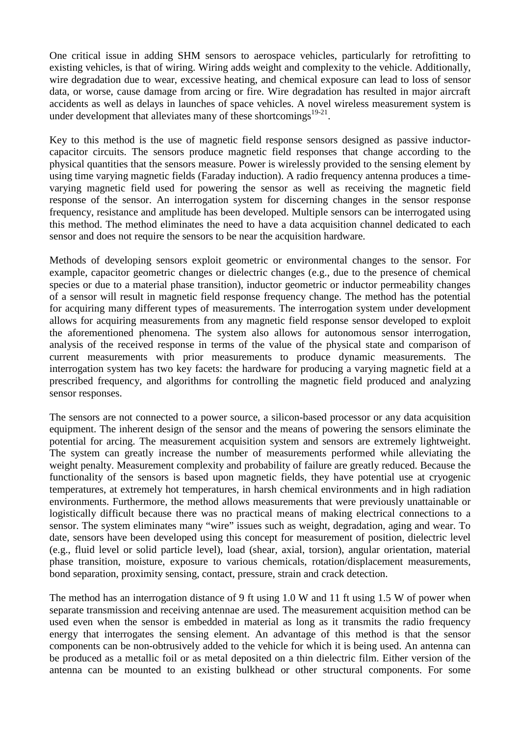One critical issue in adding SHM sensors to aerospace vehicles, particularly for retrofitting to existing vehicles, is that of wiring. Wiring adds weight and complexity to the vehicle. Additionally, wire degradation due to wear, excessive heating, and chemical exposure can lead to loss of sensor data, or worse, cause damage from arcing or fire. Wire degradation has resulted in major aircraft accidents as well as delays in launches of space vehicles. A novel wireless measurement system is under development that alleviates many of these shortcomings $19-21$ .

Key to this method is the use of magnetic field response sensors designed as passive inductorcapacitor circuits. The sensors produce magnetic field responses that change according to the physical quantities that the sensors measure. Power is wirelessly provided to the sensing element by using time varying magnetic fields (Faraday induction). A radio frequency antenna produces a timevarying magnetic field used for powering the sensor as well as receiving the magnetic field response of the sensor. An interrogation system for discerning changes in the sensor response frequency, resistance and amplitude has been developed. Multiple sensors can be interrogated using this method. The method eliminates the need to have a data acquisition channel dedicated to each sensor and does not require the sensors to be near the acquisition hardware.

Methods of developing sensors exploit geometric or environmental changes to the sensor. For example, capacitor geometric changes or dielectric changes (e.g., due to the presence of chemical species or due to a material phase transition), inductor geometric or inductor permeability changes of a sensor will result in magnetic field response frequency change. The method has the potential for acquiring many different types of measurements. The interrogation system under development allows for acquiring measurements from any magnetic field response sensor developed to exploit the aforementioned phenomena. The system also allows for autonomous sensor interrogation, analysis of the received response in terms of the value of the physical state and comparison of current measurements with prior measurements to produce dynamic measurements. The interrogation system has two key facets: the hardware for producing a varying magnetic field at a prescribed frequency, and algorithms for controlling the magnetic field produced and analyzing sensor responses.

The sensors are not connected to a power source, a silicon-based processor or any data acquisition equipment. The inherent design of the sensor and the means of powering the sensors eliminate the potential for arcing. The measurement acquisition system and sensors are extremely lightweight. The system can greatly increase the number of measurements performed while alleviating the weight penalty. Measurement complexity and probability of failure are greatly reduced. Because the functionality of the sensors is based upon magnetic fields, they have potential use at cryogenic temperatures, at extremely hot temperatures, in harsh chemical environments and in high radiation environments. Furthermore, the method allows measurements that were previously unattainable or logistically difficult because there was no practical means of making electrical connections to a sensor. The system eliminates many "wire" issues such as weight, degradation, aging and wear. To date, sensors have been developed using this concept for measurement of position, dielectric level (e.g., fluid level or solid particle level), load (shear, axial, torsion), angular orientation, material phase transition, moisture, exposure to various chemicals, rotation/displacement measurements, bond separation, proximity sensing, contact, pressure, strain and crack detection.

The method has an interrogation distance of 9 ft using 1.0 W and 11 ft using 1.5 W of power when separate transmission and receiving antennae are used. The measurement acquisition method can be used even when the sensor is embedded in material as long as it transmits the radio frequency energy that interrogates the sensing element. An advantage of this method is that the sensor components can be non-obtrusively added to the vehicle for which it is being used. An antenna can be produced as a metallic foil or as metal deposited on a thin dielectric film. Either version of the antenna can be mounted to an existing bulkhead or other structural components. For some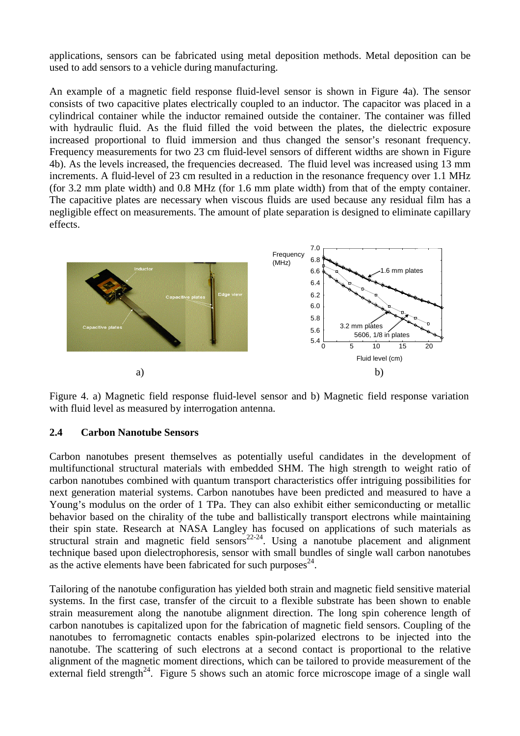applications, sensors can be fabricated using metal deposition methods. Metal deposition can be used to add sensors to a vehicle during manufacturing.

An example of a magnetic field response fluid-level sensor is shown in Figure 4a). The sensor consists of two capacitive plates electrically coupled to an inductor. The capacitor was placed in a cylindrical container while the inductor remained outside the container. The container was filled with hydraulic fluid. As the fluid filled the void between the plates, the dielectric exposure increased proportional to fluid immersion and thus changed the sensor's resonant frequency. Frequency measurements for two 23 cm fluid-level sensors of different widths are shown in Figure 4b). As the levels increased, the frequencies decreased. The fluid level was increased using 13 mm increments. A fluid-level of 23 cm resulted in a reduction in the resonance frequency over 1.1 MHz (for 3.2 mm plate width) and 0.8 MHz (for 1.6 mm plate width) from that of the empty container. The capacitive plates are necessary when viscous fluids are used because any residual film has a negligible effect on measurements. The amount of plate separation is designed to eliminate capillary effects.



Figure 4. a) Magnetic field response fluid-level sensor and b) Magnetic field response variation with fluid level as measured by interrogation antenna.

#### **2.4 Carbon Nanotube Sensors**

Carbon nanotubes present themselves as potentially useful candidates in the development of multifunctional structural materials with embedded SHM. The high strength to weight ratio of carbon nanotubes combined with quantum transport characteristics offer intriguing possibilities for next generation material systems. Carbon nanotubes have been predicted and measured to have a Young's modulus on the order of 1 TPa. They can also exhibit either semiconducting or metallic behavior based on the chirality of the tube and ballistically transport electrons while maintaining their spin state. Research at NASA Langley has focused on applications of such materials as structural strain and magnetic field sensors<sup>22-24</sup>. Using a nanotube placement and alignment technique based upon dielectrophoresis, sensor with small bundles of single wall carbon nanotubes as the active elements have been fabricated for such purposes $^{24}$ .

Tailoring of the nanotube configuration has yielded both strain and magnetic field sensitive material systems. In the first case, transfer of the circuit to a flexible substrate has been shown to enable strain measurement along the nanotube alignment direction. The long spin coherence length of carbon nanotubes is capitalized upon for the fabrication of magnetic field sensors. Coupling of the nanotubes to ferromagnetic contacts enables spin-polarized electrons to be injected into the nanotube. The scattering of such electrons at a second contact is proportional to the relative alignment of the magnetic moment directions, which can be tailored to provide measurement of the external field strength<sup>24</sup>. Figure 5 shows such an atomic force microscope image of a single wall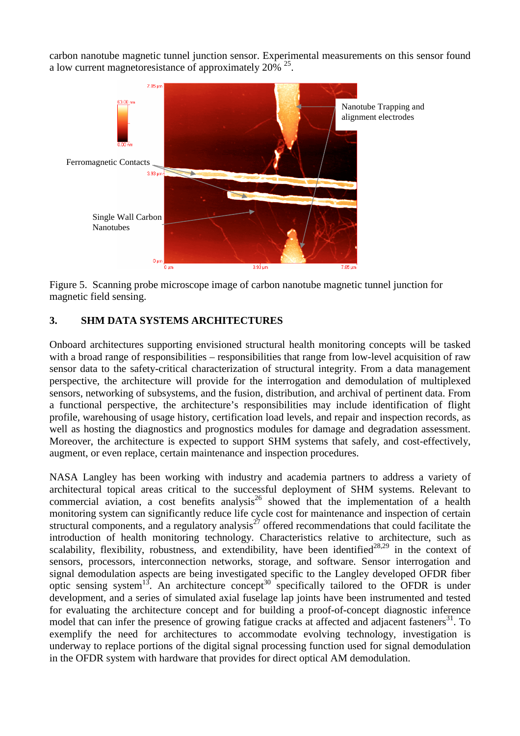carbon nanotube magnetic tunnel junction sensor. Experimental measurements on this sensor found a low current magnetoresistance of approximately  $20\%$   $35$ .



Figure 5. Scanning probe microscope image of carbon nanotube magnetic tunnel junction for magnetic field sensing.

## **3. SHM DATA SYSTEMS ARCHITECTURES**

Onboard architectures supporting envisioned structural health monitoring concepts will be tasked with a broad range of responsibilities – responsibilities that range from low-level acquisition of raw sensor data to the safety-critical characterization of structural integrity. From a data management perspective, the architecture will provide for the interrogation and demodulation of multiplexed sensors, networking of subsystems, and the fusion, distribution, and archival of pertinent data. From a functional perspective, the architecture's responsibilities may include identification of flight profile, warehousing of usage history, certification load levels, and repair and inspection records, as well as hosting the diagnostics and prognostics modules for damage and degradation assessment. Moreover, the architecture is expected to support SHM systems that safely, and cost-effectively, augment, or even replace, certain maintenance and inspection procedures.

NASA Langley has been working with industry and academia partners to address a variety of architectural topical areas critical to the successful deployment of SHM systems. Relevant to commercial aviation, a cost benefits analysis<sup>26</sup> showed that the implementation of a health monitoring system can significantly reduce life cycle cost for maintenance and inspection of certain structural components, and a regulatory analysis<sup> $27$ </sup> offered recommendations that could facilitate the introduction of health monitoring technology. Characteristics relative to architecture, such as scalability, flexibility, robustness, and extendibility, have been identified<sup>28,29</sup> in the context of sensors, processors, interconnection networks, storage, and software. Sensor interrogation and signal demodulation aspects are being investigated specific to the Langley developed OFDR fiber optic sensing system<sup>13</sup>. An architecture concept<sup>30</sup> specifically tailored to the OFDR is under development, and a series of simulated axial fuselage lap joints have been instrumented and tested for evaluating the architecture concept and for building a proof-of-concept diagnostic inference model that can infer the presence of growing fatigue cracks at affected and adjacent fasteners<sup>31</sup>. To exemplify the need for architectures to accommodate evolving technology, investigation is underway to replace portions of the digital signal processing function used for signal demodulation in the OFDR system with hardware that provides for direct optical AM demodulation.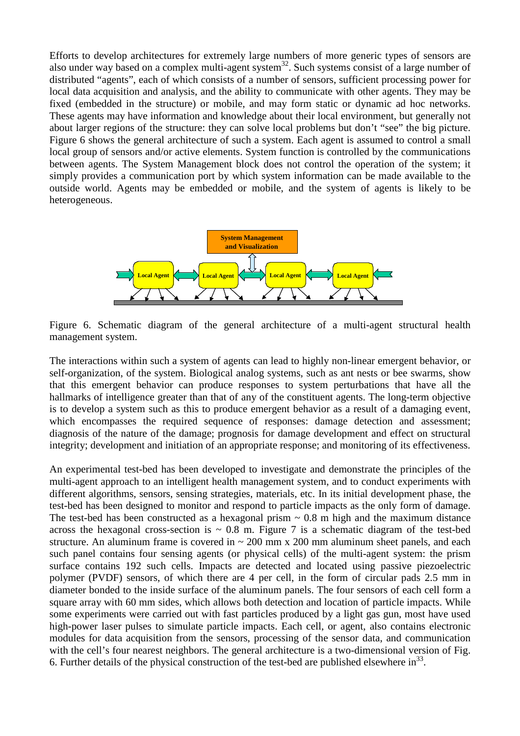Efforts to develop architectures for extremely large numbers of more generic types of sensors are also under way based on a complex multi-agent system<sup>32</sup>. Such systems consist of a large number of distributed "agents", each of which consists of a number of sensors, sufficient processing power for local data acquisition and analysis, and the ability to communicate with other agents. They may be fixed (embedded in the structure) or mobile, and may form static or dynamic ad hoc networks. These agents may have information and knowledge about their local environment, but generally not about larger regions of the structure: they can solve local problems but don't "see" the big picture. Figure 6 shows the general architecture of such a system. Each agent is assumed to control a small local group of sensors and/or active elements. System function is controlled by the communications between agents. The System Management block does not control the operation of the system; it simply provides a communication port by which system information can be made available to the outside world. Agents may be embedded or mobile, and the system of agents is likely to be heterogeneous.



Figure 6. Schematic diagram of the general architecture of a multi-agent structural health management system.

The interactions within such a system of agents can lead to highly non-linear emergent behavior, or self-organization, of the system. Biological analog systems, such as ant nests or bee swarms, show that this emergent behavior can produce responses to system perturbations that have all the hallmarks of intelligence greater than that of any of the constituent agents. The long-term objective is to develop a system such as this to produce emergent behavior as a result of a damaging event, which encompasses the required sequence of responses: damage detection and assessment; diagnosis of the nature of the damage; prognosis for damage development and effect on structural integrity; development and initiation of an appropriate response; and monitoring of its effectiveness.

An experimental test-bed has been developed to investigate and demonstrate the principles of the multi-agent approach to an intelligent health management system, and to conduct experiments with different algorithms, sensors, sensing strategies, materials, etc. In its initial development phase, the test-bed has been designed to monitor and respond to particle impacts as the only form of damage. The test-bed has been constructed as a hexagonal prism  $\sim 0.8$  m high and the maximum distance across the hexagonal cross-section is  $\sim$  0.8 m. Figure 7 is a schematic diagram of the test-bed structure. An aluminum frame is covered in  $\sim$  200 mm x 200 mm aluminum sheet panels, and each such panel contains four sensing agents (or physical cells) of the multi-agent system: the prism surface contains 192 such cells. Impacts are detected and located using passive piezoelectric polymer (PVDF) sensors, of which there are 4 per cell, in the form of circular pads 2.5 mm in diameter bonded to the inside surface of the aluminum panels. The four sensors of each cell form a square array with 60 mm sides, which allows both detection and location of particle impacts. While some experiments were carried out with fast particles produced by a light gas gun, most have used high-power laser pulses to simulate particle impacts. Each cell, or agent, also contains electronic modules for data acquisition from the sensors, processing of the sensor data, and communication with the cell's four nearest neighbors. The general architecture is a two-dimensional version of Fig. 6. Further details of the physical construction of the test-bed are published elsewhere  $\text{in}^{33}$ .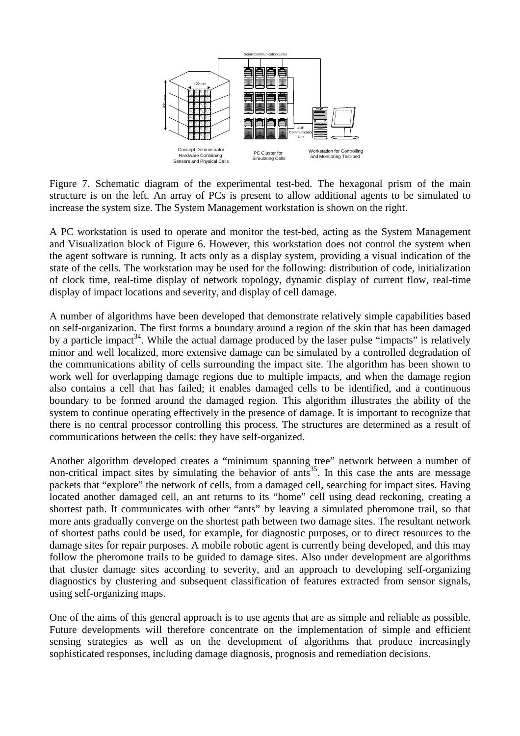

Figure 7. Schematic diagram of the experimental test-bed. The hexagonal prism of the main structure is on the left. An array of PCs is present to allow additional agents to be simulated to increase the system size. The System Management workstation is shown on the right.

A PC workstation is used to operate and monitor the test-bed, acting as the System Management and Visualization block of Figure 6. However, this workstation does not control the system when the agent software is running. It acts only as a display system, providing a visual indication of the state of the cells. The workstation may be used for the following: distribution of code, initialization of clock time, real-time display of network topology, dynamic display of current flow, real-time display of impact locations and severity, and display of cell damage.

A number of algorithms have been developed that demonstrate relatively simple capabilities based on self-organization. The first forms a boundary around a region of the skin that has been damaged by a particle impact<sup>34</sup>. While the actual damage produced by the laser pulse "impacts" is relatively minor and well localized, more extensive damage can be simulated by a controlled degradation of the communications ability of cells surrounding the impact site. The algorithm has been shown to work well for overlapping damage regions due to multiple impacts, and when the damage region also contains a cell that has failed; it enables damaged cells to be identified, and a continuous boundary to be formed around the damaged region. This algorithm illustrates the ability of the system to continue operating effectively in the presence of damage. It is important to recognize that there is no central processor controlling this process. The structures are determined as a result of communications between the cells: they have self-organized.

Another algorithm developed creates a "minimum spanning tree" network between a number of non-critical impact sites by simulating the behavior of ants<sup>35</sup>. In this case the ants are message packets that "explore" the network of cells, from a damaged cell, searching for impact sites. Having located another damaged cell, an ant returns to its "home" cell using dead reckoning, creating a shortest path. It communicates with other "ants" by leaving a simulated pheromone trail, so that more ants gradually converge on the shortest path between two damage sites. The resultant network of shortest paths could be used, for example, for diagnostic purposes, or to direct resources to the damage sites for repair purposes. A mobile robotic agent is currently being developed, and this may follow the pheromone trails to be guided to damage sites. Also under development are algorithms that cluster damage sites according to severity, and an approach to developing self-organizing diagnostics by clustering and subsequent classification of features extracted from sensor signals, using self-organizing maps.

One of the aims of this general approach is to use agents that are as simple and reliable as possible. Future developments will therefore concentrate on the implementation of simple and efficient sensing strategies as well as on the development of algorithms that produce increasingly sophisticated responses, including damage diagnosis, prognosis and remediation decisions.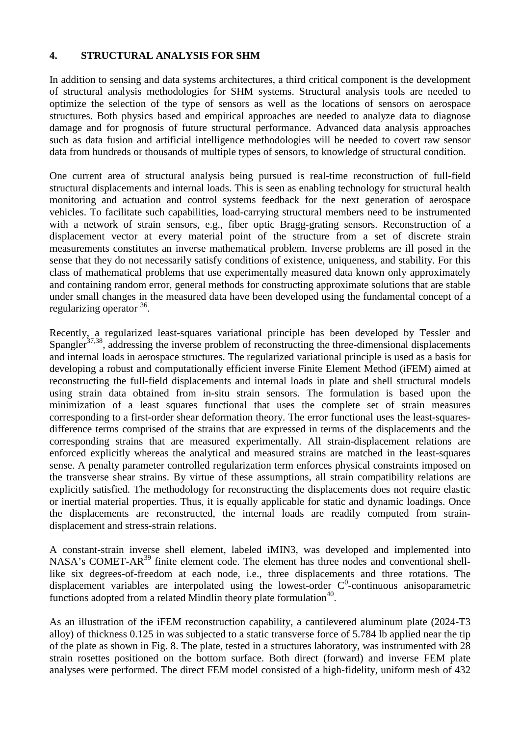### **4. STRUCTURAL ANALYSIS FOR SHM**

In addition to sensing and data systems architectures, a third critical component is the development of structural analysis methodologies for SHM systems. Structural analysis tools are needed to optimize the selection of the type of sensors as well as the locations of sensors on aerospace structures. Both physics based and empirical approaches are needed to analyze data to diagnose damage and for prognosis of future structural performance. Advanced data analysis approaches such as data fusion and artificial intelligence methodologies will be needed to covert raw sensor data from hundreds or thousands of multiple types of sensors, to knowledge of structural condition.

One current area of structural analysis being pursued is real-time reconstruction of full-field structural displacements and internal loads. This is seen as enabling technology for structural health monitoring and actuation and control systems feedback for the next generation of aerospace vehicles. To facilitate such capabilities, load-carrying structural members need to be instrumented with a network of strain sensors, e.g., fiber optic Bragg-grating sensors. Reconstruction of a displacement vector at every material point of the structure from a set of discrete strain measurements constitutes an inverse mathematical problem. Inverse problems are ill posed in the sense that they do not necessarily satisfy conditions of existence, uniqueness, and stability. For this class of mathematical problems that use experimentally measured data known only approximately and containing random error, general methods for constructing approximate solutions that are stable under small changes in the measured data have been developed using the fundamental concept of a regularizing operator <sup>36</sup>.

Recently, a regularized least-squares variational principle has been developed by Tessler and Spangler<sup>37,38</sup>, addressing the inverse problem of reconstructing the three-dimensional displacements and internal loads in aerospace structures. The regularized variational principle is used as a basis for developing a robust and computationally efficient inverse Finite Element Method (iFEM) aimed at reconstructing the full-field displacements and internal loads in plate and shell structural models using strain data obtained from in-situ strain sensors. The formulation is based upon the minimization of a least squares functional that uses the complete set of strain measures corresponding to a first-order shear deformation theory. The error functional uses the least-squaresdifference terms comprised of the strains that are expressed in terms of the displacements and the corresponding strains that are measured experimentally. All strain-displacement relations are enforced explicitly whereas the analytical and measured strains are matched in the least-squares sense. A penalty parameter controlled regularization term enforces physical constraints imposed on the transverse shear strains. By virtue of these assumptions, all strain compatibility relations are explicitly satisfied. The methodology for reconstructing the displacements does not require elastic or inertial material properties. Thus, it is equally applicable for static and dynamic loadings. Once the displacements are reconstructed, the internal loads are readily computed from straindisplacement and stress-strain relations.

A constant-strain inverse shell element, labeled iMIN3, was developed and implemented into NASA's COMET-AR<sup>39</sup> finite element code. The element has three nodes and conventional shelllike six degrees-of-freedom at each node, i.e., three displacements and three rotations. The displacement variables are interpolated using the lowest-order  $C^0$ -continuous anisoparametric functions adopted from a related Mindlin theory plate formulation<sup>40</sup>.

As an illustration of the iFEM reconstruction capability, a cantilevered aluminum plate (2024-T3 alloy) of thickness 0.125 in was subjected to a static transverse force of 5.784 lb applied near the tip of the plate as shown in Fig. 8. The plate, tested in a structures laboratory, was instrumented with 28 strain rosettes positioned on the bottom surface. Both direct (forward) and inverse FEM plate analyses were performed. The direct FEM model consisted of a high-fidelity, uniform mesh of 432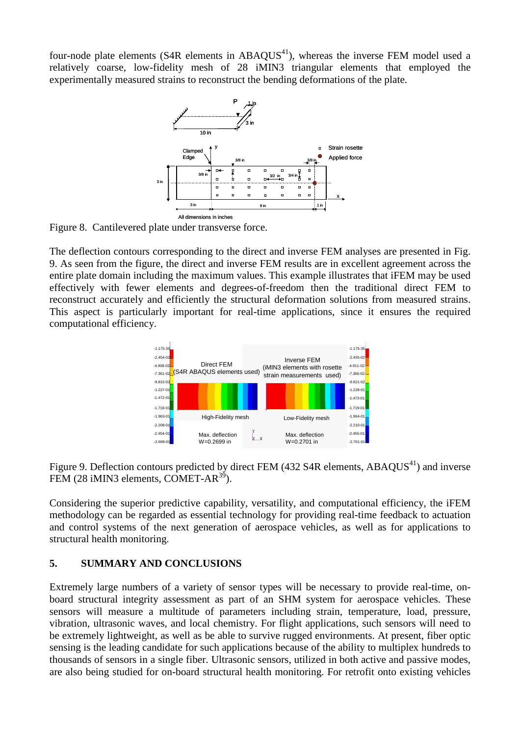four-node plate elements ( $S4R$  elements in  $ABAOUS^{41}$ ), whereas the inverse FEM model used a relatively coarse, low-fidelity mesh of 28 iMIN3 triangular elements that employed the experimentally measured strains to reconstruct the bending deformations of the plate.



Figure 8. Cantilevered plate under transverse force.

The deflection contours corresponding to the direct and inverse FEM analyses are presented in Fig. 9. As seen from the figure, the direct and inverse FEM results are in excellent agreement across the entire plate domain including the maximum values. This example illustrates that iFEM may be used effectively with fewer elements and degrees-of-freedom then the traditional direct FEM to reconstruct accurately and efficiently the structural deformation solutions from measured strains. This aspect is particularly important for real-time applications, since it ensures the required computational efficiency.



Figure 9. Deflection contours predicted by direct FEM (432 S4R elements, ABAQUS<sup>41</sup>) and inverse FEM  $(28 \text{ iMIN3}$  elements, COMET-AR<sup>39</sup>).

Considering the superior predictive capability, versatility, and computational efficiency, the iFEM methodology can be regarded as essential technology for providing real-time feedback to actuation and control systems of the next generation of aerospace vehicles, as well as for applications to structural health monitoring.

# **5. SUMMARY AND CONCLUSIONS**

Extremely large numbers of a variety of sensor types will be necessary to provide real-time, onboard structural integrity assessment as part of an SHM system for aerospace vehicles. These sensors will measure a multitude of parameters including strain, temperature, load, pressure, vibration, ultrasonic waves, and local chemistry. For flight applications, such sensors will need to be extremely lightweight, as well as be able to survive rugged environments. At present, fiber optic sensing is the leading candidate for such applications because of the ability to multiplex hundreds to thousands of sensors in a single fiber. Ultrasonic sensors, utilized in both active and passive modes, are also being studied for on-board structural health monitoring. For retrofit onto existing vehicles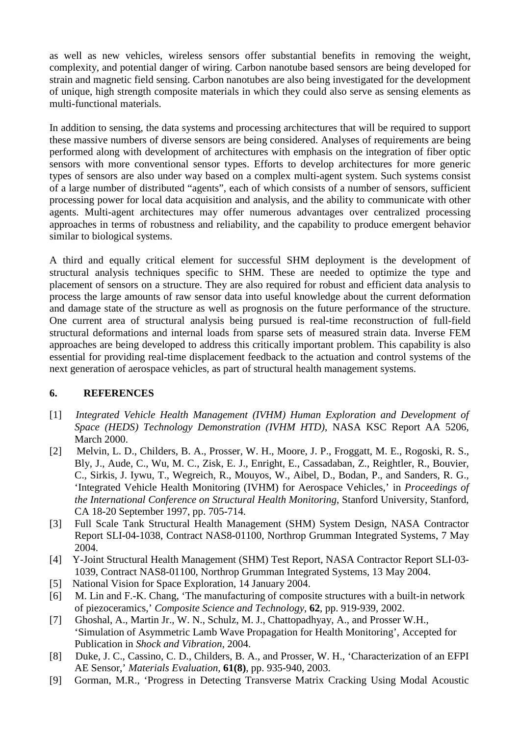as well as new vehicles, wireless sensors offer substantial benefits in removing the weight, complexity, and potential danger of wiring. Carbon nanotube based sensors are being developed for strain and magnetic field sensing. Carbon nanotubes are also being investigated for the development of unique, high strength composite materials in which they could also serve as sensing elements as multi-functional materials.

In addition to sensing, the data systems and processing architectures that will be required to support these massive numbers of diverse sensors are being considered. Analyses of requirements are being performed along with development of architectures with emphasis on the integration of fiber optic sensors with more conventional sensor types. Efforts to develop architectures for more generic types of sensors are also under way based on a complex multi-agent system. Such systems consist of a large number of distributed "agents", each of which consists of a number of sensors, sufficient processing power for local data acquisition and analysis, and the ability to communicate with other agents. Multi-agent architectures may offer numerous advantages over centralized processing approaches in terms of robustness and reliability, and the capability to produce emergent behavior similar to biological systems.

A third and equally critical element for successful SHM deployment is the development of structural analysis techniques specific to SHM. These are needed to optimize the type and placement of sensors on a structure. They are also required for robust and efficient data analysis to process the large amounts of raw sensor data into useful knowledge about the current deformation and damage state of the structure as well as prognosis on the future performance of the structure. One current area of structural analysis being pursued is real-time reconstruction of full-field structural deformations and internal loads from sparse sets of measured strain data. Inverse FEM approaches are being developed to address this critically important problem. This capability is also essential for providing real-time displacement feedback to the actuation and control systems of the next generation of aerospace vehicles, as part of structural health management systems.

# **6. REFERENCES**

- [1] *Integrated Vehicle Health Management (IVHM) Human Exploration and Development of Space (HEDS) Technology Demonstration (IVHM HTD)*, NASA KSC Report AA 5206, March 2000.
- [2] Melvin, L. D., Childers, B. A., Prosser, W. H., Moore, J. P., Froggatt, M. E., Rogoski, R. S., Bly, J., Aude, C., Wu, M. C., Zisk, E. J., Enright, E., Cassadaban, Z., Reightler, R., Bouvier, C., Sirkis, J. Iywu, T., Wegreich, R., Mouyos, W., Aibel, D., Bodan, P., and Sanders, R. G., 'Integrated Vehicle Health Monitoring (IVHM) for Aerospace Vehicles,' in *Proceedings of the International Conference on Structural Health Monitoring*, Stanford University, Stanford, CA 18-20 September 1997, pp. 705-714.
- [3] Full Scale Tank Structural Health Management (SHM) System Design, NASA Contractor Report SLI-04-1038, Contract NAS8-01100, Northrop Grumman Integrated Systems, 7 May 2004.
- [4] Y-Joint Structural Health Management (SHM) Test Report, NASA Contractor Report SLI-03- 1039, Contract NAS8-01100, Northrop Grumman Integrated Systems, 13 May 2004.
- [5] National Vision for Space Exploration, 14 January 2004.
- [6] M. Lin and F.-K. Chang, 'The manufacturing of composite structures with a built-in network of piezoceramics,' *Composite Science and Technology*, **62**, pp. 919-939, 2002.
- [7] Ghoshal, A., Martin Jr., W. N., Schulz, M. J., Chattopadhyay, A., and Prosser W.H., 'Simulation of Asymmetric Lamb Wave Propagation for Health Monitoring', Accepted for Publication in *Shock and Vibration*, 2004.
- [8] Duke, J. C., Cassino, C. D., Childers, B. A., and Prosser, W. H., 'Characterization of an EFPI AE Sensor,' *Materials Evaluation,* **61(8)**, pp. 935-940, 2003.
- [9] Gorman, M.R., 'Progress in Detecting Transverse Matrix Cracking Using Modal Acoustic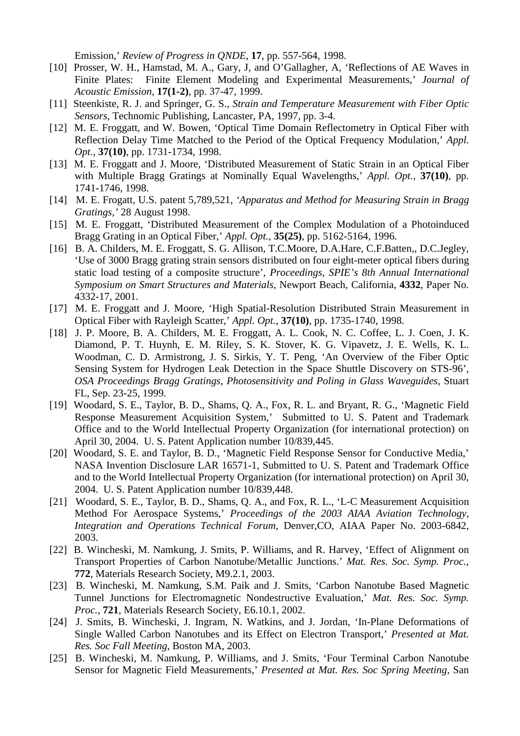Emission,' *Review of Progress in QNDE*, **17**, pp. 557-564, 1998.

- [10] Prosser, W. H., Hamstad, M. A., Gary, J, and O'Gallagher, A, 'Reflections of AE Waves in Finite Plates: Finite Element Modeling and Experimental Measurements,' *Journal of Acoustic Emission*, **17(1-2)**, pp. 37-47, 1999.
- [11] Steenkiste, R. J. and Springer, G. S., *Strain and Temperature Measurement with Fiber Optic Sensors*, Technomic Publishing, Lancaster, PA, 1997, pp. 3-4.
- [12] M. E. Froggatt, and W. Bowen, 'Optical Time Domain Reflectometry in Optical Fiber with Reflection Delay Time Matched to the Period of the Optical Frequency Modulation,' *Appl. Opt.*, **37(10)**, pp. 1731-1734, 1998.
- [13] M. E. Froggatt and J. Moore, 'Distributed Measurement of Static Strain in an Optical Fiber with Multiple Bragg Gratings at Nominally Equal Wavelengths,' *Appl. Opt.*, **37(10)**, pp. 1741-1746, 1998.
- [14] M. E. Frogatt, U.S. patent 5,789,521, *'Apparatus and Method for Measuring Strain in Bragg Gratings,'* 28 August 1998.
- [15] M. E. Froggatt, 'Distributed Measurement of the Complex Modulation of a Photoinduced Bragg Grating in an Optical Fiber,' *Appl. Opt.*, **35(25)**, pp. 5162-5164, 1996.
- [16] B. A. Childers, M. E. Froggatt, S. G. Allison, T.C.Moore, D.A.Hare, C.F.Batten,, D.C.Jegley, 'Use of 3000 Bragg grating strain sensors distributed on four eight-meter optical fibers during static load testing of a composite structure', *Proceedings, SPIE's 8th Annual International Symposium on Smart Structures and Materials*, Newport Beach, California, **4332**, Paper No. 4332-17, 2001.
- [17] M. E. Froggatt and J. Moore, 'High Spatial-Resolution Distributed Strain Measurement in Optical Fiber with Rayleigh Scatter,' *Appl. Opt.*, **37(10)**, pp. 1735-1740, 1998.
- [18] J. P. Moore, B. A. Childers, M. E. Froggatt, A. L. Cook, N. C. Coffee, L. J. Coen, J. K. Diamond, P. T. Huynh, E. M. Riley, S. K. Stover, K. G. Vipavetz, J. E. Wells, K. L. Woodman, C. D. Armistrong, J. S. Sirkis, Y. T. Peng, 'An Overview of the Fiber Optic Sensing System for Hydrogen Leak Detection in the Space Shuttle Discovery on STS-96', *OSA Proceedings Bragg Gratings, Photosensitivity and Poling in Glass Waveguides*, Stuart FL, Sep. 23-25, 1999.
- [19] Woodard, S. E., Taylor, B. D., Shams, Q. A., Fox, R. L. and Bryant, R. G., 'Magnetic Field Response Measurement Acquisition System,' Submitted to U. S. Patent and Trademark Office and to the World Intellectual Property Organization (for international protection) on April 30, 2004. U. S. Patent Application number 10/839,445.
- [20] Woodard, S. E. and Taylor, B. D., 'Magnetic Field Response Sensor for Conductive Media,' NASA Invention Disclosure LAR 16571-1, Submitted to U. S. Patent and Trademark Office and to the World Intellectual Property Organization (for international protection) on April 30, 2004. U. S. Patent Application number 10/839,448.
- [21] Woodard, S. E., Taylor, B. D., Shams, Q. A., and Fox, R. L., 'L-C Measurement Acquisition Method For Aerospace Systems,' *Proceedings of the 2003 AIAA Aviation Technology, Integration and Operations Technical Forum*, Denver,CO, AIAA Paper No. 2003-6842, 2003.
- [22] B. Wincheski, M. Namkung, J. Smits, P. Williams, and R. Harvey, 'Effect of Alignment on Transport Properties of Carbon Nanotube/Metallic Junctions.' *Mat. Res. Soc. Symp. Proc.*, **772**, Materials Research Society, M9.2.1, 2003.
- [23] B. Wincheski, M. Namkung, S.M. Paik and J. Smits, 'Carbon Nanotube Based Magnetic Tunnel Junctions for Electromagnetic Nondestructive Evaluation,' *Mat. Res. Soc. Symp. Proc.,* **721**, Materials Research Society, E6.10.1, 2002.
- [24] J. Smits, B. Wincheski, J. Ingram, N. Watkins, and J. Jordan, 'In-Plane Deformations of Single Walled Carbon Nanotubes and its Effect on Electron Transport,' *Presented at Mat. Res. Soc Fall Meeting*, Boston MA, 2003.
- [25] B. Wincheski, M. Namkung, P. Williams, and J. Smits, 'Four Terminal Carbon Nanotube Sensor for Magnetic Field Measurements,' *Presented at Mat. Res. Soc Spring Meeting,* San